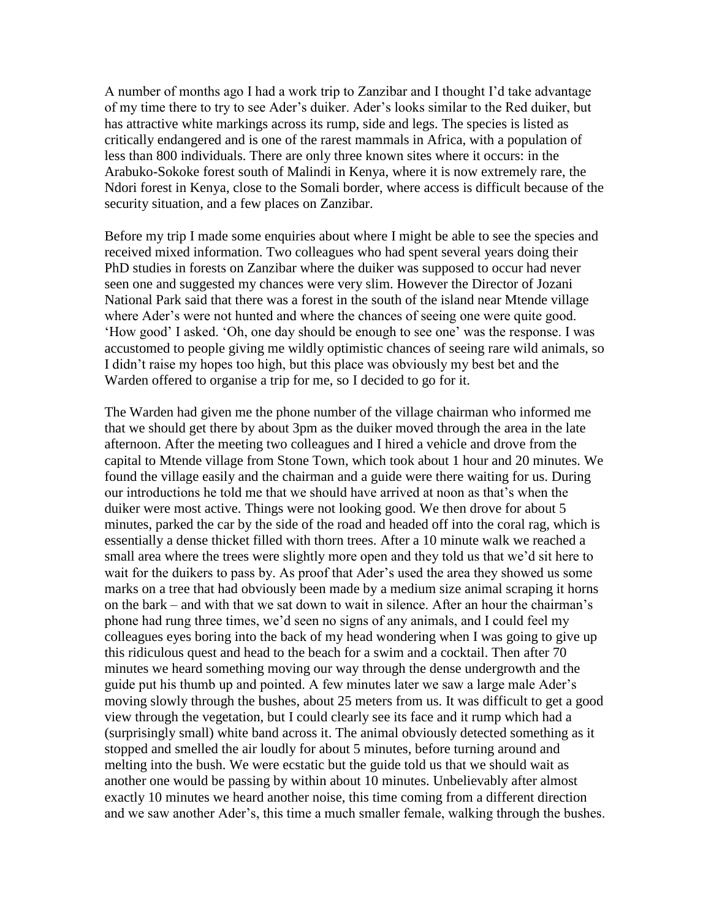A number of months ago I had a work trip to Zanzibar and I thought I'd take advantage of my time there to try to see Ader's duiker. Ader's looks similar to the Red duiker, but has attractive white markings across its rump, side and legs. The species is listed as critically endangered and is one of the rarest mammals in Africa, with a population of less than 800 individuals. There are only three known sites where it occurs: in the Arabuko-Sokoke forest south of Malindi in Kenya, where it is now extremely rare, the Ndori forest in Kenya, close to the Somali border, where access is difficult because of the security situation, and a few places on Zanzibar.

Before my trip I made some enquiries about where I might be able to see the species and received mixed information. Two colleagues who had spent several years doing their PhD studies in forests on Zanzibar where the duiker was supposed to occur had never seen one and suggested my chances were very slim. However the Director of Jozani National Park said that there was a forest in the south of the island near Mtende village where Ader's were not hunted and where the chances of seeing one were quite good. 'How good' I asked. 'Oh, one day should be enough to see one' was the response. I was accustomed to people giving me wildly optimistic chances of seeing rare wild animals, so I didn't raise my hopes too high, but this place was obviously my best bet and the Warden offered to organise a trip for me, so I decided to go for it.

The Warden had given me the phone number of the village chairman who informed me that we should get there by about 3pm as the duiker moved through the area in the late afternoon. After the meeting two colleagues and I hired a vehicle and drove from the capital to Mtende village from Stone Town, which took about 1 hour and 20 minutes. We found the village easily and the chairman and a guide were there waiting for us. During our introductions he told me that we should have arrived at noon as that's when the duiker were most active. Things were not looking good. We then drove for about 5 minutes, parked the car by the side of the road and headed off into the coral rag, which is essentially a dense thicket filled with thorn trees. After a 10 minute walk we reached a small area where the trees were slightly more open and they told us that we'd sit here to wait for the duikers to pass by. As proof that Ader's used the area they showed us some marks on a tree that had obviously been made by a medium size animal scraping it horns on the bark – and with that we sat down to wait in silence. After an hour the chairman's phone had rung three times, we'd seen no signs of any animals, and I could feel my colleagues eyes boring into the back of my head wondering when I was going to give up this ridiculous quest and head to the beach for a swim and a cocktail. Then after 70 minutes we heard something moving our way through the dense undergrowth and the guide put his thumb up and pointed. A few minutes later we saw a large male Ader's moving slowly through the bushes, about 25 meters from us. It was difficult to get a good view through the vegetation, but I could clearly see its face and it rump which had a (surprisingly small) white band across it. The animal obviously detected something as it stopped and smelled the air loudly for about 5 minutes, before turning around and melting into the bush. We were ecstatic but the guide told us that we should wait as another one would be passing by within about 10 minutes. Unbelievably after almost exactly 10 minutes we heard another noise, this time coming from a different direction and we saw another Ader's, this time a much smaller female, walking through the bushes.